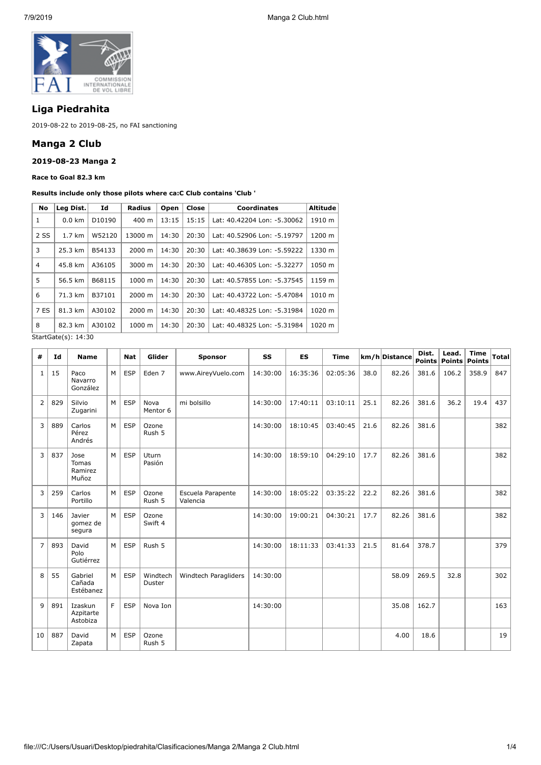

# **Liga Piedrahita**

2019-08-22 to 2019-08-25, no FAI sanctioning

## **Manga 2 Club**

#### **2019-08-23 Manga 2**

**Race to Goal 82.3 km**

#### **Results include only those pilots where ca:C Club contains 'Club '**

| Leg Dist.        | Id     | Radius             | Open  | Close | <b>Coordinates</b>          | Altitude |  |
|------------------|--------|--------------------|-------|-------|-----------------------------|----------|--|
| $0.0$ km         | D10190 | 400 m              | 13:15 | 15:15 | Lat: 40.42204 Lon: -5.30062 | 1910 m   |  |
| $1.7 \text{ km}$ | W52120 | 13000 m            | 14:30 | 20:30 | Lat: 40.52906 Lon: -5.19797 | 1200 m   |  |
| 25.3 km          | B54133 | 2000 m             | 14:30 | 20:30 | Lat: 40.38639 Lon: -5.59222 | 1330 m   |  |
| 45.8 km          | A36105 | 3000 m             | 14:30 | 20:30 | Lat: 40.46305 Lon: -5.32277 | 1050 m   |  |
| 56.5 km          | B68115 | $1000 \;{\rm m}$   | 14:30 | 20:30 | Lat: 40.57855 Lon: -5.37545 | 1159 m   |  |
| 71.3 km          | B37101 | 2000 m             | 14:30 | 20:30 | Lat: 40.43722 Lon: -5.47084 | 1010 m   |  |
| 81.3 km          | A30102 | 2000 m             | 14:30 | 20:30 | Lat: 40.48325 Lon: -5.31984 | 1020 m   |  |
| 82.3 km          | A30102 | $1000 \; \text{m}$ | 14:30 | 20:30 | Lat: 40.48325 Lon: -5.31984 | 1020 m   |  |
|                  |        |                    |       |       |                             |          |  |

StartGate(s): 14:30

| #              | Id  | <b>Name</b>                       |   | <b>Nat</b> | Glider             | <b>Sponsor</b>                | SS       | <b>ES</b> | <b>Time</b> |      | km/h Distance | Dist. | Lead.<br>Points   Points   Points | <b>Time</b> | Total |
|----------------|-----|-----------------------------------|---|------------|--------------------|-------------------------------|----------|-----------|-------------|------|---------------|-------|-----------------------------------|-------------|-------|
| $\mathbf{1}$   | 15  | Paco<br>Navarro<br>González       | M | <b>ESP</b> | Eden 7             | www.AireyVuelo.com            | 14:30:00 | 16:35:36  | 02:05:36    | 38.0 | 82.26         | 381.6 | 106.2                             | 358.9       | 847   |
| $\overline{2}$ | 829 | Silvio<br>Zugarini                | M | <b>ESP</b> | Nova<br>Mentor 6   | mi bolsillo                   | 14:30:00 | 17:40:11  | 03:10:11    | 25.1 | 82.26         | 381.6 | 36.2                              | 19.4        | 437   |
| 3              | 889 | Carlos<br>Pérez<br>Andrés         | M | <b>ESP</b> | Ozone<br>Rush 5    |                               | 14:30:00 | 18:10:45  | 03:40:45    | 21.6 | 82.26         | 381.6 |                                   |             | 382   |
| 3              | 837 | Jose<br>Tomas<br>Ramirez<br>Muñoz | M | <b>ESP</b> | Uturn<br>Pasión    |                               | 14:30:00 | 18:59:10  | 04:29:10    | 17.7 | 82.26         | 381.6 |                                   |             | 382   |
| 3              | 259 | Carlos<br>Portillo                | M | <b>ESP</b> | Ozone<br>Rush 5    | Escuela Parapente<br>Valencia | 14:30:00 | 18:05:22  | 03:35:22    | 22.2 | 82.26         | 381.6 |                                   |             | 382   |
| 3              | 146 | Javier<br>gomez de<br>segura      | M | <b>ESP</b> | Ozone<br>Swift 4   |                               | 14:30:00 | 19:00:21  | 04:30:21    | 17.7 | 82.26         | 381.6 |                                   |             | 382   |
| $\overline{7}$ | 893 | David<br>Polo<br>Gutiérrez        | M | <b>ESP</b> | Rush 5             |                               | 14:30:00 | 18:11:33  | 03:41:33    | 21.5 | 81.64         | 378.7 |                                   |             | 379   |
| 8              | 55  | Gabriel<br>Cañada<br>Estébanez    | M | ESP        | Windtech<br>Duster | Windtech Paragliders          | 14:30:00 |           |             |      | 58.09         | 269.5 | 32.8                              |             | 302   |
| $\overline{9}$ | 891 | Izaskun<br>Azpitarte<br>Astobiza  | F | <b>ESP</b> | Nova Ion           |                               | 14:30:00 |           |             |      | 35.08         | 162.7 |                                   |             | 163   |
| 10             | 887 | David<br>Zapata                   | M | <b>ESP</b> | Ozone<br>Rush 5    |                               |          |           |             |      | 4.00          | 18.6  |                                   |             | 19    |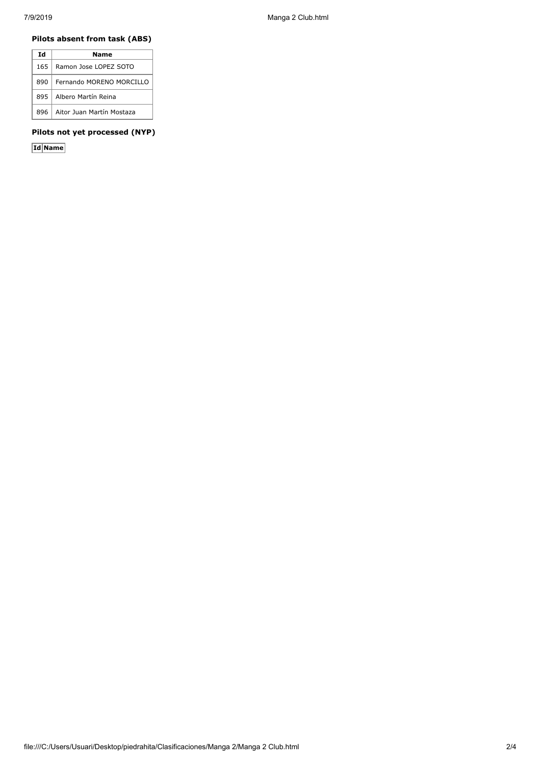### **Pilots absent from task (ABS)**

| Ιd   | Name                      |
|------|---------------------------|
| 165. | Ramon Jose LOPEZ SOTO     |
| 890  | Fernando MORENO MORCILLO  |
| 895  | Albero Martín Reina       |
| 896. | Aitor Juan Martín Mostaza |

#### **Pilots not yet processed (NYP)**

**Id Name**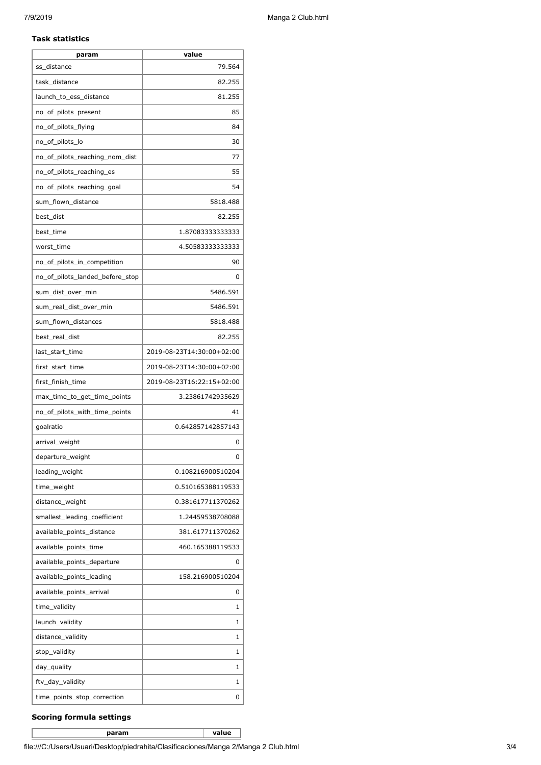#### **Task statistics**

| param                           | value                     |
|---------------------------------|---------------------------|
| ss distance                     | 79.564                    |
| task distance                   | 82.255                    |
| launch_to_ess_distance          | 81.255                    |
| no_of_pilots_present            | 85                        |
| no_of_pilots_flying             | 84                        |
| no_of_pilots_lo                 | 30                        |
| no_of_pilots_reaching_nom_dist  | 77                        |
| no_of_pilots_reaching_es        | 55                        |
| no_of_pilots_reaching_goal      | 54                        |
| sum_flown_distance              | 5818.488                  |
| best_dist                       | 82.255                    |
| best_time                       | 1.87083333333333          |
| worst time                      | 4.50583333333333          |
| no_of_pilots_in_competition     | 90                        |
| no_of_pilots_landed_before_stop | 0                         |
| sum_dist_over_min               | 5486.591                  |
| sum real dist over min          | 5486.591                  |
| sum_flown_distances             | 5818.488                  |
| best_real_dist                  | 82.255                    |
| last_start_time                 | 2019-08-23T14:30:00+02:00 |
| first_start_time                | 2019-08-23T14:30:00+02:00 |
| first_finish_time               | 2019-08-23T16:22:15+02:00 |
| max_time_to_get_time_points     | 3.23861742935629          |
| no_of_pilots_with_time_points   | 41                        |
| goalratio                       | 0.642857142857143         |
| arrival_weight                  | 0                         |
| departure_weight                | <sup>0</sup>              |
| leading_weight                  | 0.108216900510204         |
| time_weight                     | 0.510165388119533         |
| distance_weight                 | 0.381617711370262         |
| smallest_leading_coefficient    | 1.24459538708088          |
| available_points_distance       | 381.617711370262          |
| available_points_time           | 460.165388119533          |
| available_points_departure      | 0                         |
| available_points_leading        | 158.216900510204          |
| available_points_arrival        | 0                         |
| time_validity                   | 1                         |
| launch_validity                 | 1                         |
| distance_validity               | 1                         |
| stop_validity                   | 1                         |
| day_quality                     | 1                         |
| ftv_day_validity                | 1                         |
| time_points_stop_correction     | 0                         |

#### **Scoring formula settings**

**param value**